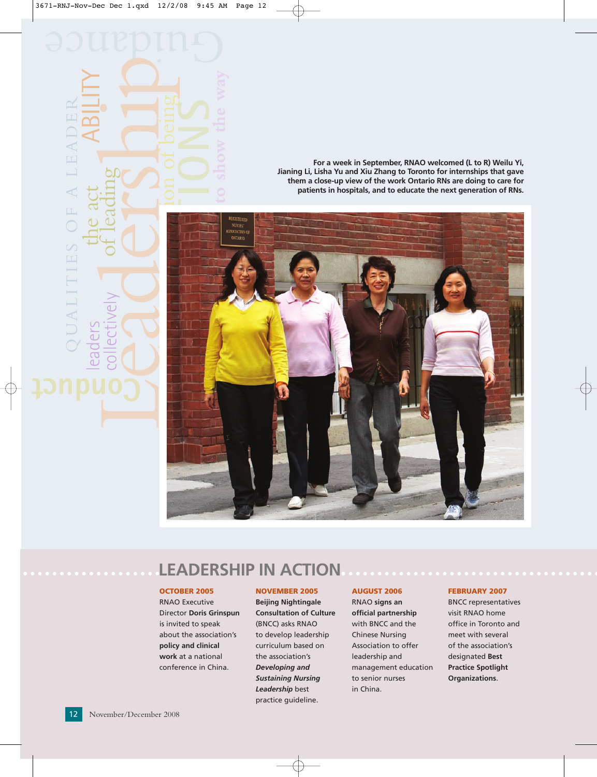**For a week in September, RNAO welcomed (L to R) Weilu Yi, Jianing Li, Lisha Yu and Xiu Zhang to Toronto for internships that gave them a close-up view of the work Ontario RNs are doing to care for patients in hospitals, and to educate the next generation of RNs.**



# **LEADERSHIP IN ACTION**

#### **OCTOBER 2005**

RNAO Executive Director **Doris Grinspun** is invited to speak about the association's **policy and clinical work** at a national conference in China.

#### **NOVEMBER 2005**

**Beijing Nightingale Consultation of Culture** (BNCC) asks RNAO to develop leadership curriculum based on the association's *Developing and Sustaining Nursing Leadership* best practice guideline.

#### **AUGUST 2006**

RNAO **signs an official partnership** with BNCC and the Chinese Nursing Association to offer leadership and management education to senior nurses in China.

#### **FEBRUARY 2007**

BNCC representatives visit RNAO home office in Toronto and meet with several of the association's designated **Best Practice Spotlight Organizations**.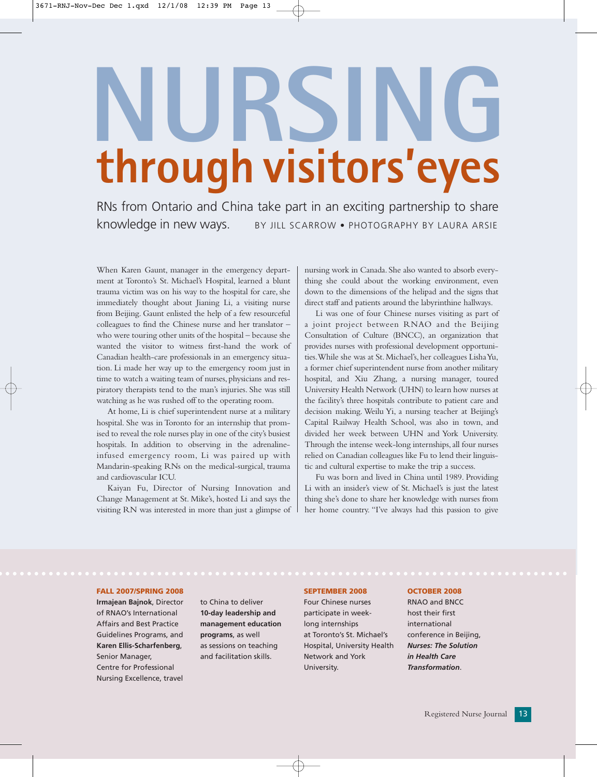# **NURSING through visitors'eyes**

RNs from Ontario and China take part in an exciting partnership to share knowledge in new ways. BY JILL SCARROW • PHOTOGRAPHY BY LAURA ARSIE

When Karen Gaunt, manager in the emergency department at Toronto's St. Michael's Hospital, learned a blunt trauma victim was on his way to the hospital for care, she immediately thought about Jianing Li, a visiting nurse from Beijing. Gaunt enlisted the help of a few resourceful colleagues to find the Chinese nurse and her translator – who were touring other units of the hospital – because she wanted the visitor to witness first-hand the work of Canadian health-care professionals in an emergency situation. Li made her way up to the emergency room just in time to watch a waiting team of nurses, physicians and respiratory therapists tend to the man's injuries. She was still watching as he was rushed off to the operating room.

At home, Li is chief superintendent nurse at a military hospital. She was in Toronto for an internship that promised to reveal the role nurses play in one of the city's busiest hospitals. In addition to observing in the adrenalineinfused emergency room, Li was paired up with Mandarin-speaking RNs on the medical-surgical, trauma and cardiovascular ICU.

Kaiyan Fu, Director of Nursing Innovation and Change Management at St. Mike's, hosted Li and says the visiting RN was interested in more than just a glimpse of nursing work in Canada. She also wanted to absorb everything she could about the working environment, even down to the dimensions of the helipad and the signs that direct staff and patients around the labyrinthine hallways.

Li was one of four Chinese nurses visiting as part of a joint project between RNAO and the Beijing Consultation of Culture (BNCC), an organization that provides nurses with professional development opportunities.While she was at St.Michael's, her colleagues Lisha Yu, a former chief superintendent nurse from another military hospital, and Xiu Zhang, a nursing manager, toured University Health Network (UHN) to learn how nurses at the facility's three hospitals contribute to patient care and decision making. Weilu Yi, a nursing teacher at Beijing's Capital Railway Health School, was also in town, and divided her week between UHN and York University. Through the intense week-long internships, all four nurses relied on Canadian colleagues like Fu to lend their linguistic and cultural expertise to make the trip a success.

Fu was born and lived in China until 1989. Providing Li with an insider's view of St. Michael's is just the latest thing she's done to share her knowledge with nurses from her home country. "I've always had this passion to give

#### **FALL 2007/SPRING 2008**

**Irmajean Bajnok**, Director of RNAO's International Affairs and Best Practice Guidelines Programs, and **Karen Ellis-Scharfenberg**, Senior Manager, Centre for Professional Nursing Excellence, travel

to China to deliver **10-day leadership and management education programs**, as well as sessions on teaching and facilitation skills.

#### **SEPTEMBER 2008**

Four Chinese nurses participate in weeklong internships at Toronto's St. Michael's Hospital, University Health Network and York University.

#### **OCTOBER 2008**

RNAO and BNCC host their first international conference in Beijing, *Nurses: The Solution in Health Care Transformation*.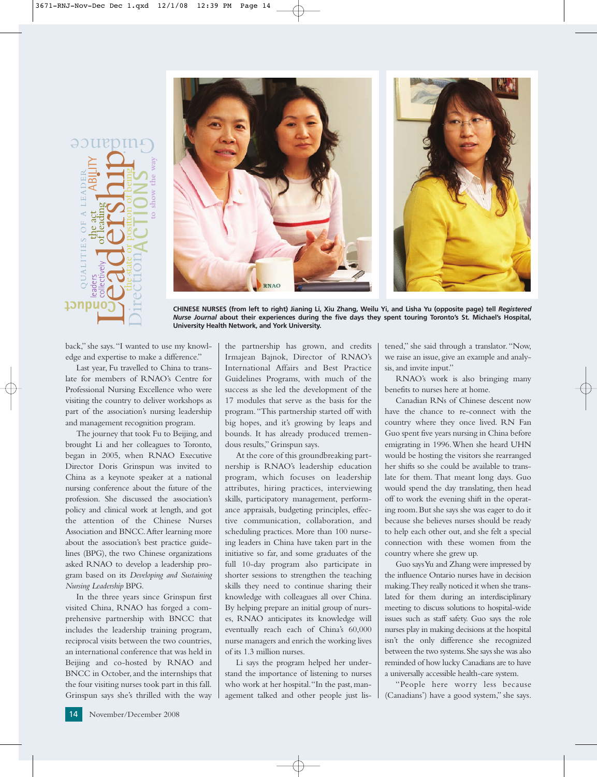



**CHINESE NURSES (from left to right) Jianing Li, Xiu Zhang, Weilu Yi, and Lisha Yu (opposite page) tell** *Registered Nurse Journal* **about their experiences during the five days they spent touring Toronto's St. Michael's Hospital, University Health Network, and York University.**

back," she says."I wanted to use my knowledge and expertise to make a difference."

Last year, Fu travelled to China to translate for members of RNAO's Centre for Professional Nursing Excellence who were visiting the country to deliver workshops as part of the association's nursing leadership and management recognition program.

The journey that took Fu to Beijing, and brought Li and her colleagues to Toronto, began in 2005, when RNAO Executive Director Doris Grinspun was invited to China as a keynote speaker at a national nursing conference about the future of the profession. She discussed the association's policy and clinical work at length, and got the attention of the Chinese Nurses Association and BNCC.After learning more about the association's best practice guidelines (BPG), the two Chinese organizations asked RNAO to develop a leadership program based on its *Developing and Sustaining Nursing Leadership* BPG.

In the three years since Grinspun first visited China, RNAO has forged a comprehensive partnership with BNCC that includes the leadership training program, reciprocal visits between the two countries, an international conference that was held in Beijing and co-hosted by RNAO and BNCC in October, and the internships that the four visiting nurses took part in this fall. Grinspun says she's thrilled with the way

the partnership has grown, and credits Irmajean Bajnok, Director of RNAO's International Affairs and Best Practice Guidelines Programs, with much of the success as she led the development of the 17 modules that serve as the basis for the program."This partnership started off with big hopes, and it's growing by leaps and bounds. It has already produced tremendous results," Grinspun says.

At the core of this groundbreaking partnership is RNAO's leadership education program, which focuses on leadership attributes, hiring practices, interviewing skills, participatory management, performance appraisals, budgeting principles, effective communication, collaboration, and scheduling practices. More than 100 nurseing leaders in China have taken part in the initiative so far, and some graduates of the full 10-day program also participate in shorter sessions to strengthen the teaching skills they need to continue sharing their knowledge with colleagues all over China. By helping prepare an initial group of nurses, RNAO anticipates its knowledge will eventually reach each of China's 60,000 nurse managers and enrich the working lives of its 1.3 million nurses.

Li says the program helped her understand the importance of listening to nurses who work at her hospital."In the past, management talked and other people just listened," she said through a translator."Now, we raise an issue, give an example and analysis, and invite input."

RNAO's work is also bringing many benefits to nurses here at home.

Canadian RNs of Chinese descent now have the chance to re-connect with the country where they once lived. RN Fan Guo spent five years nursing in China before emigrating in 1996.When she heard UHN would be hosting the visitors she rearranged her shifts so she could be available to translate for them. That meant long days. Guo would spend the day translating, then head off to work the evening shift in the operating room. But she says she was eager to do it because she believes nurses should be ready to help each other out, and she felt a special connection with these women from the country where she grew up.

Guo says Yu and Zhang were impressed by the influence Ontario nurses have in decision making.They really noticed it when she translated for them during an interdisciplinary meeting to discuss solutions to hospital-wide issues such as staff safety. Guo says the role nurses play in making decisions at the hospital isn't the only difference she recognized between the two systems.She says she was also reminded of how lucky Canadians are to have a universally accessible health-care system.

"People here worry less because (Canadians') have a good system," she says.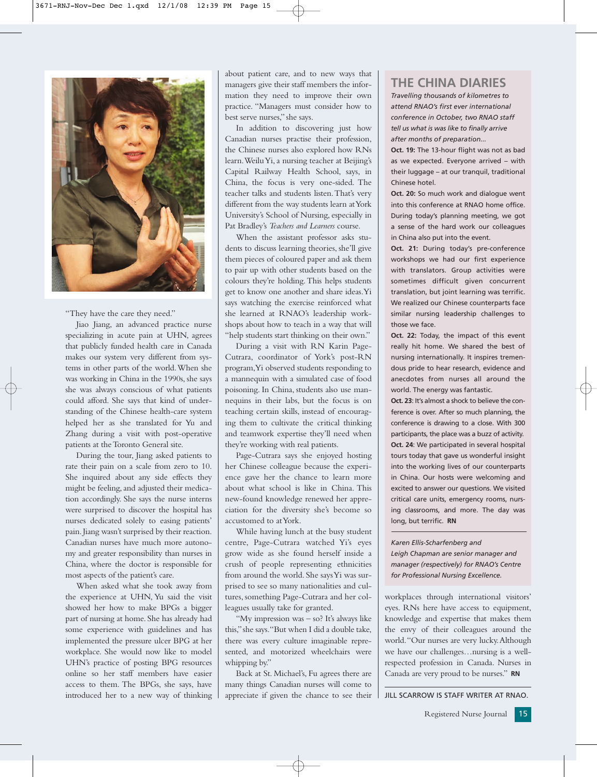

"They have the care they need."

Jiao Jiang, an advanced practice nurse specializing in acute pain at UHN, agrees that publicly funded health care in Canada makes our system very different from systems in other parts of the world.When she was working in China in the 1990s, she says she was always conscious of what patients could afford. She says that kind of understanding of the Chinese health-care system helped her as she translated for Yu and Zhang during a visit with post-operative patients at the Toronto General site.

During the tour, Jiang asked patients to rate their pain on a scale from zero to 10. She inquired about any side effects they might be feeling, and adjusted their medication accordingly. She says the nurse interns were surprised to discover the hospital has nurses dedicated solely to easing patients' pain.Jiang wasn't surprised by their reaction. Canadian nurses have much more autonomy and greater responsibility than nurses in China, where the doctor is responsible for most aspects of the patient's care.

When asked what she took away from the experience at UHN, Yu said the visit showed her how to make BPGs a bigger part of nursing at home. She has already had some experience with guidelines and has implemented the pressure ulcer BPG at her workplace. She would now like to model UHN's practice of posting BPG resources online so her staff members have easier access to them. The BPGs, she says, have introduced her to a new way of thinking

about patient care, and to new ways that managers give their staff members the information they need to improve their own practice. "Managers must consider how to best serve nurses," she says.

In addition to discovering just how Canadian nurses practise their profession, the Chinese nurses also explored how RNs learn.Weilu Yi, a nursing teacher at Beijing's Capital Railway Health School, says, in China, the focus is very one-sided. The teacher talks and students listen.That's very different from the way students learn at York University's School of Nursing, especially in Pat Bradley's *Teachers and Learners* course.

When the assistant professor asks students to discuss learning theories, she'll give them pieces of coloured paper and ask them to pair up with other students based on the colours they're holding.This helps students get to know one another and share ideas.Yi says watching the exercise reinforced what she learned at RNAO's leadership workshops about how to teach in a way that will "help students start thinking on their own."

During a visit with RN Karin Page-Cutrara, coordinator of York's post-RN program,Yi observed students responding to a mannequin with a simulated case of food poisoning. In China, students also use mannequins in their labs, but the focus is on teaching certain skills, instead of encouraging them to cultivate the critical thinking and teamwork expertise they'll need when they're working with real patients.

Page-Cutrara says she enjoyed hosting her Chinese colleague because the experience gave her the chance to learn more about what school is like in China. This new-found knowledge renewed her appreciation for the diversity she's become so accustomed to at York.

While having lunch at the busy student centre, Page-Cutrara watched Yi's eyes grow wide as she found herself inside a crush of people representing ethnicities from around the world. She says Yi was surprised to see so many nationalities and cultures, something Page-Cutrara and her colleagues usually take for granted.

"My impression was - so? It's always like this,"she says."But when I did a double take, there was every culture imaginable represented, and motorized wheelchairs were whipping by."

Back at St. Michael's, Fu agrees there are many things Canadian nurses will come to appreciate if given the chance to see their

### **THE CHINA DIARIES**

*Travelling thousands of kilometres to attend RNAO's first ever international conference in October, two RNAO staff tell us what is was like to finally arrive after months of preparation...*

**Oct. 19:** The 13-hour flight was not as bad as we expected. Everyone arrived – with their luggage – at our tranquil, traditional Chinese hotel.

**Oct. 20:** So much work and dialogue went into this conference at RNAO home office. During today's planning meeting, we got a sense of the hard work our colleagues in China also put into the event.

**Oct. 21:** During today's pre-conference workshops we had our first experience with translators. Group activities were sometimes difficult given concurrent translation, but joint learning was terrific. We realized our Chinese counterparts face similar nursing leadership challenges to those we face.

Oct. 22: Today, the impact of this event really hit home. We shared the best of nursing internationally. It inspires tremendous pride to hear research, evidence and anecdotes from nurses all around the world. The energy was fantastic.

**Oct. 23**: It's almost a shock to believe the conference is over. After so much planning, the conference is drawing to a close. With 300 participants, the place was a buzz of activity. **Oct. 24**: We participated in several hospital tours today that gave us wonderful insight into the working lives of our counterparts in China. Our hosts were welcoming and excited to answer our questions. We visited critical care units, emergency rooms, nursing classrooms, and more. The day was long, but terrific. **RN**

*Karen Ellis-Scharfenberg and Leigh Chapman are senior manager and manager (respectively) for RNAO's Centre for Professional Nursing Excellence.* 

workplaces through international visitors' eyes. RNs here have access to equipment, knowledge and expertise that makes them the envy of their colleagues around the world."Our nurses are very lucky.Although we have our challenges…nursing is a wellrespected profession in Canada. Nurses in Canada are very proud to be nurses." **RN**

JILL SCARROW IS STAFF WRITER AT RNAO.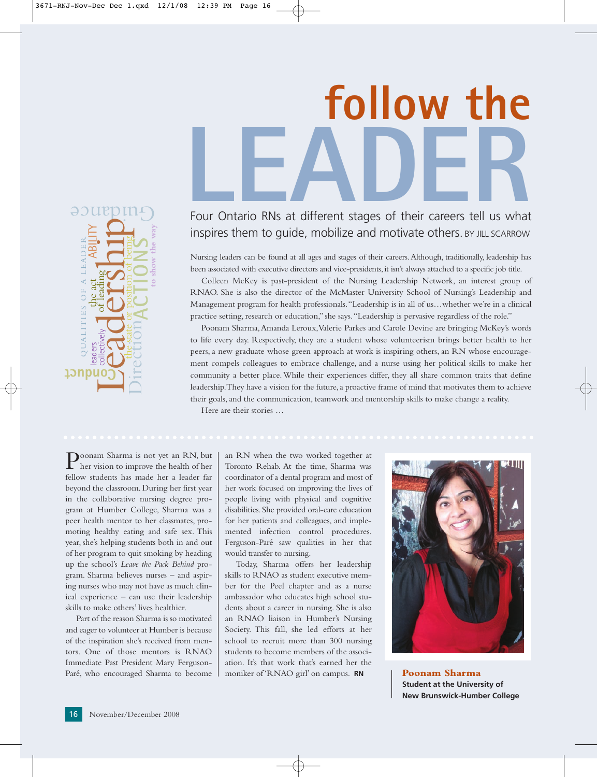



# inspires them to guide, mobilize and motivate others. BY JILL SCARROW

Nursing leaders can be found at all ages and stages of their careers.Although, traditionally, leadership has been associated with executive directors and vice-presidents, it isn't always attached to a specific job title.

Colleen McKey is past-president of the Nursing Leadership Network, an interest group of RNAO. She is also the director of the McMaster University School of Nursing's Leadership and Management program for health professionals."Leadership is in all of us…whether we're in a clinical practice setting, research or education," she says."Leadership is pervasive regardless of the role."

Poonam Sharma,Amanda Leroux,Valerie Parkes and Carole Devine are bringing McKey's words to life every day. Respectively, they are a student whose volunteerism brings better health to her peers, a new graduate whose green approach at work is inspiring others, an RN whose encouragement compels colleagues to embrace challenge, and a nurse using her political skills to make her community a better place. While their experiences differ, they all share common traits that define leadership.They have a vision for the future, a proactive frame of mind that motivates them to achieve their goals, and the communication, teamwork and mentorship skills to make change a reality.

Here are their stories …

Poonam Sharma is not yet an RN, but her vision to improve the health of her fellow students has made her a leader far beyond the classroom. During her first year in the collaborative nursing degree program at Humber College, Sharma was a peer health mentor to her classmates, promoting healthy eating and safe sex. This year, she's helping students both in and out of her program to quit smoking by heading up the school's *Leave the Pack Behind* program. Sharma believes nurses – and aspiring nurses who may not have as much clinical experience – can use their leadership skills to make others' lives healthier.

Part of the reason Sharma is so motivated and eager to volunteer at Humber is because of the inspiration she's received from mentors. One of those mentors is RNAO Immediate Past President Mary Ferguson-Paré, who encouraged Sharma to become an RN when the two worked together at Toronto Rehab. At the time, Sharma was coordinator of a dental program and most of her work focused on improving the lives of people living with physical and cognitive disabilities.She provided oral-care education for her patients and colleagues, and implemented infection control procedures. Ferguson-Paré saw qualities in her that would transfer to nursing.

Today, Sharma offers her leadership skills to RNAO as student executive member for the Peel chapter and as a nurse ambassador who educates high school students about a career in nursing. She is also an RNAO liaison in Humber's Nursing Society. This fall, she led efforts at her school to recruit more than 300 nursing students to become members of the association. It's that work that's earned her the moniker of 'RNAO girl' on campus. **RN**



**Poonam Sharma Student at the University of New Brunswick-Humber College**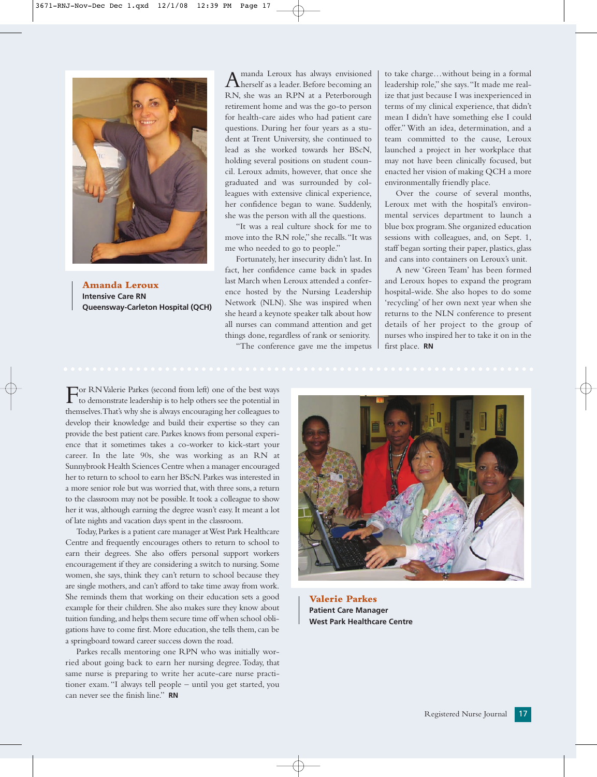

**Amanda Leroux Intensive Care RN Queensway-Carleton Hospital (QCH)**

Amanda Leroux has always envisioned herself as a leader. Before becoming an RN, she was an RPN at a Peterborough retirement home and was the go-to person for health-care aides who had patient care questions. During her four years as a student at Trent University, she continued to lead as she worked towards her BScN, holding several positions on student council. Leroux admits, however, that once she graduated and was surrounded by colleagues with extensive clinical experience, her confidence began to wane. Suddenly, she was the person with all the questions.

"It was a real culture shock for me to move into the RN role," she recalls."It was me who needed to go to people."

Fortunately, her insecurity didn't last. In fact, her confidence came back in spades last March when Leroux attended a conference hosted by the Nursing Leadership Network (NLN). She was inspired when she heard a keynote speaker talk about how all nurses can command attention and get things done, regardless of rank or seniority.

"The conference gave me the impetus

to take charge…without being in a formal leadership role," she says."It made me realize that just because I was inexperienced in terms of my clinical experience, that didn't mean I didn't have something else I could offer." With an idea, determination, and a team committed to the cause, Leroux launched a project in her workplace that may not have been clinically focused, but enacted her vision of making QCH a more environmentally friendly place.

Over the course of several months, Leroux met with the hospital's environmental services department to launch a blue box program.She organized education sessions with colleagues, and, on Sept. 1, staff began sorting their paper, plastics, glass and cans into containers on Leroux's unit.

A new 'Green Team' has been formed and Leroux hopes to expand the program hospital-wide. She also hopes to do some 'recycling' of her own next year when she returns to the NLN conference to present details of her project to the group of nurses who inspired her to take it on in the first place. **RN**

For RN Valerie Parkes (second from left) one of the best ways to demonstrate leadership is to help others see the potential in themselves.That's why she is always encouraging her colleagues to develop their knowledge and build their expertise so they can provide the best patient care. Parkes knows from personal experience that it sometimes takes a co-worker to kick-start your career. In the late 90s, she was working as an RN at Sunnybrook Health Sciences Centre when a manager encouraged her to return to school to earn her BScN.Parkes was interested in a more senior role but was worried that, with three sons, a return to the classroom may not be possible. It took a colleague to show her it was, although earning the degree wasn't easy. It meant a lot of late nights and vacation days spent in the classroom.

Today,Parkes is a patient care manager at West Park Healthcare Centre and frequently encourages others to return to school to earn their degrees. She also offers personal support workers encouragement if they are considering a switch to nursing. Some women, she says, think they can't return to school because they are single mothers, and can't afford to take time away from work. She reminds them that working on their education sets a good example for their children. She also makes sure they know about tuition funding, and helps them secure time off when school obligations have to come first. More education, she tells them, can be a springboard toward career success down the road.

Parkes recalls mentoring one RPN who was initially worried about going back to earn her nursing degree.Today, that same nurse is preparing to write her acute-care nurse practitioner exam. "I always tell people – until you get started, you can never see the finish line." **RN**



**Valerie Parkes Patient Care Manager West Park Healthcare Centre**